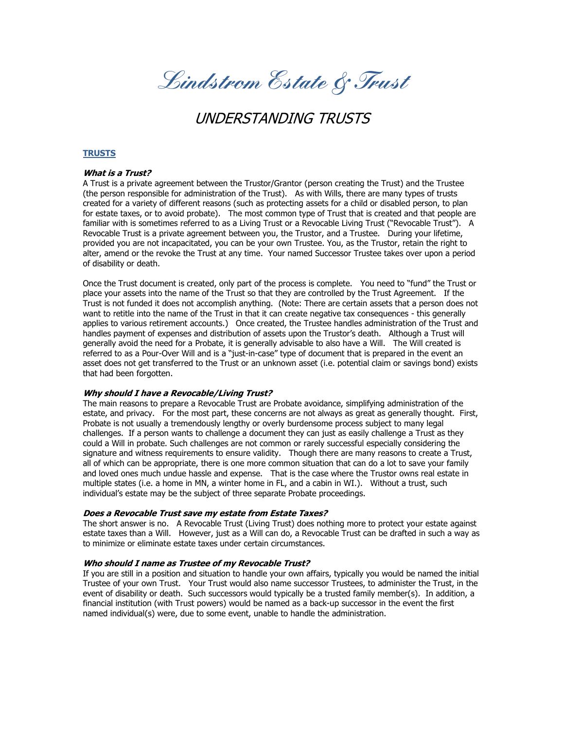**Lindstrom Estate & Trust**

# UNDERSTANDING TRUSTS

# **TRUSTS**

## **What is a Trust?**

A Trust is a private agreement between the Trustor/Grantor (person creating the Trust) and the Trustee (the person responsible for administration of the Trust). As with Wills, there are many types of trusts created for a variety of different reasons (such as protecting assets for a child or disabled person, to plan for estate taxes, or to avoid probate). The most common type of Trust that is created and that people are familiar with is sometimes referred to as a Living Trust or a Revocable Living Trust ("Revocable Trust"). A Revocable Trust is a private agreement between you, the Trustor, and a Trustee. During your lifetime, provided you are not incapacitated, you can be your own Trustee. You, as the Trustor, retain the right to alter, amend or the revoke the Trust at any time. Your named Successor Trustee takes over upon a period of disability or death.

Once the Trust document is created, only part of the process is complete. You need to "fund" the Trust or place your assets into the name of the Trust so that they are controlled by the Trust Agreement. If the Trust is not funded it does not accomplish anything. (Note: There are certain assets that a person does not want to retitle into the name of the Trust in that it can create negative tax consequences - this generally applies to various retirement accounts.) Once created, the Trustee handles administration of the Trust and handles payment of expenses and distribution of assets upon the Trustor's death. Although a Trust will generally avoid the need for a Probate, it is generally advisable to also have a Will. The Will created is referred to as a Pour-Over Will and is a "just-in-case" type of document that is prepared in the event an asset does not get transferred to the Trust or an unknown asset (i.e. potential claim or savings bond) exists that had been forgotten.

## **Why should I have a Revocable/Living Trust?**

The main reasons to prepare a Revocable Trust are Probate avoidance, simplifying administration of the estate, and privacy. For the most part, these concerns are not always as great as generally thought. First, Probate is not usually a tremendously lengthy or overly burdensome process subject to many legal challenges. If a person wants to challenge a document they can just as easily challenge a Trust as they could a Will in probate. Such challenges are not common or rarely successful especially considering the signature and witness requirements to ensure validity. Though there are many reasons to create a Trust, all of which can be appropriate, there is one more common situation that can do a lot to save your family and loved ones much undue hassle and expense. That is the case where the Trustor owns real estate in multiple states (i.e. a home in MN, a winter home in FL, and a cabin in WI.). Without a trust, such individual's estate may be the subject of three separate Probate proceedings.

#### **Does a Revocable Trust save my estate from Estate Taxes?**

The short answer is no. A Revocable Trust (Living Trust) does nothing more to protect your estate against estate taxes than a Will. However, just as a Will can do, a Revocable Trust can be drafted in such a way as to minimize or eliminate estate taxes under certain circumstances.

## **Who should I name as Trustee of my Revocable Trust?**

If you are still in a position and situation to handle your own affairs, typically you would be named the initial Trustee of your own Trust. Your Trust would also name successor Trustees, to administer the Trust, in the event of disability or death. Such successors would typically be a trusted family member(s). In addition, a financial institution (with Trust powers) would be named as a back-up successor in the event the first named individual(s) were, due to some event, unable to handle the administration.